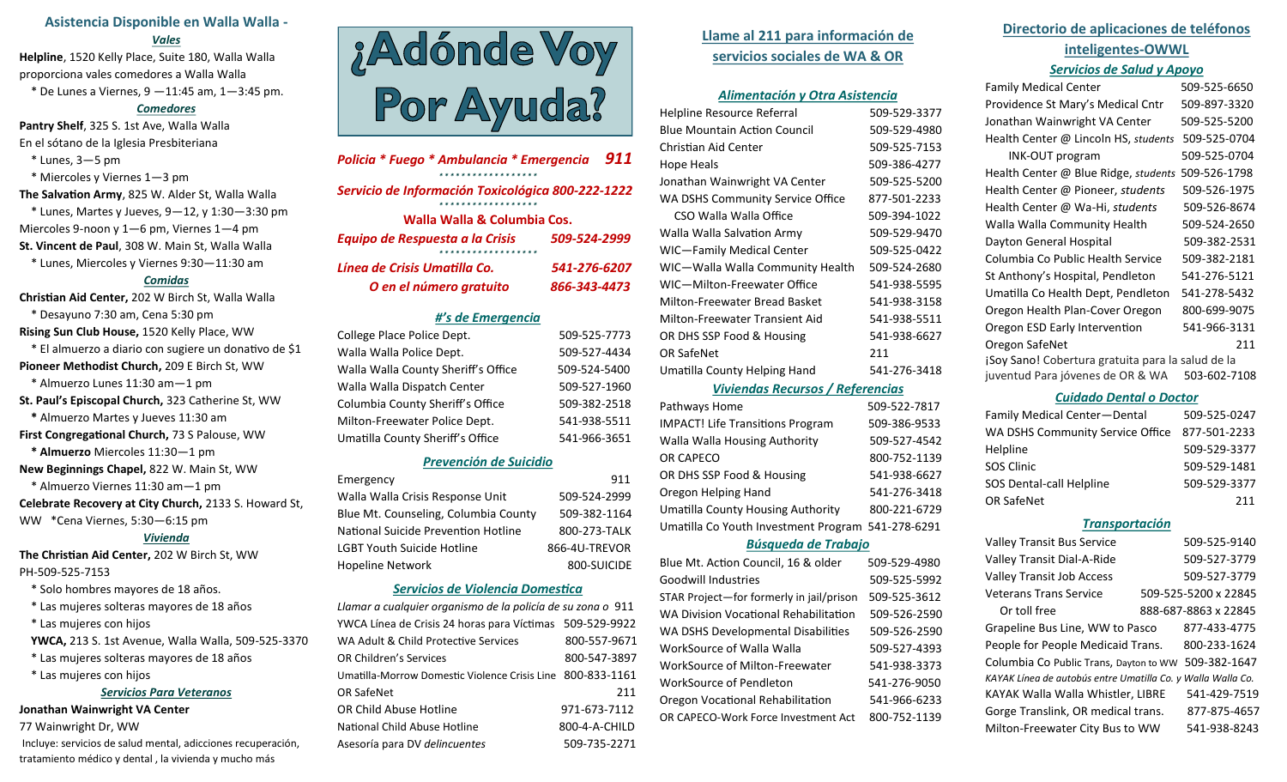# **Asistencia Disponible en Walla Walla -**

#### *Vales*

**Helpline**, 1520 Kelly Place, Suite 180, Walla Walla proporciona vales comedores a Walla Walla \* De Lunes a Viernes, 9 —11:45 am, 1—3:45 pm.

#### *Comedores*

**Pantry Shelf**, 325 S. 1st Ave, Walla Walla En el sótano de la Iglesia Presbiteriana

- \* Lunes, 3—5 pm
- \* Miercoles y Viernes 1—3 pm

**The Salvation Army**, 825 W. Alder St, Walla Walla  $*$  Lunes, Martes y Jueves, 9-12, y 1:30-3:30 pm Miercoles 9-noon y 1—6 pm, Viernes 1—4 pm **St. Vincent de Paul**, 308 W. Main St, Walla Walla \* Lunes, Miercoles y Viernes 9:30—11:30 am

### *Comidas*

**Christian Aid Center,** 202 W Birch St, Walla Walla \* Desayuno 7:30 am, Cena 5:30 pm **Rising Sun Club House,** 1520 Kelly Place, WW \* El almuerzo a diario con sugiere un donativo de \$1 **Pioneer Methodist Church,** 209 E Birch St, WW \* Almuerzo Lunes 11:30 am—1 pm **St. Paul's Episcopal Church,** 323 Catherine St, WW **\*** Almuerzo Martes y Jueves 11:30 am **First Congregational Church,** 73 S Palouse, WW  **\* Almuerzo** Miercoles 11:30—1 pm **New Beginnings Chapel,** 822 W. Main St, WW \* Almuerzo Viernes 11:30 am—1 pm **Celebrate Recovery at City Church,** 2133 S. Howard St, WW \*Cena Viernes, 5:30—6:15 pm *Vivienda* **The Christian Aid Center,** 202 W Birch St, WW

#### PH-509-525-7153

- \* Solo hombres mayores de 18 años.
- \* Las mujeres solteras mayores de 18 años
- \* Las mujeres con hijos
- **YWCA,** 213 S. 1st Avenue, Walla Walla, 509-525-3370
- \* Las mujeres solteras mayores de 18 años
- \* Las mujeres con hijos

## *Servicios Para Veteranos*

#### **Jonathan Wainwright VA Center**

77 Wainwright Dr, WW

Incluye: servicios de salud mental, adicciones recuperación, tratamiento médico y dental , la vivienda y mucho más



| Policia * Fuego * Ambulancia * Emergencia         | 911          |  |
|---------------------------------------------------|--------------|--|
| Servicio de Información Toxicológica 800-222-1222 |              |  |
| Walla Walla & Columbia Cos.                       |              |  |
| Equipo de Respuesta a la Crisis                   | 509-524-2999 |  |
| Línea de Crisis Umatilla Co.                      | 541-276-6207 |  |
| O en el número gratuito                           | 866-343-4473 |  |

# *#'s de Emergencia*

| College Place Police Dept.          | 509-525-7773 |
|-------------------------------------|--------------|
| Walla Walla Police Dept.            | 509-527-4434 |
| Walla Walla County Sheriff's Office | 509-524-5400 |
| Walla Walla Dispatch Center         | 509-527-1960 |
| Columbia County Sheriff's Office    | 509-382-2518 |
| Milton-Freewater Police Dept.       | 541-938-5511 |
| Umatilla County Sheriff's Office    | 541-966-3651 |

### *Prevención de Suicidio*

| Emergency                            | 911           |
|--------------------------------------|---------------|
| Walla Walla Crisis Response Unit     | 509-524-2999  |
| Blue Mt. Counseling, Columbia County | 509-382-1164  |
| National Suicide Prevention Hotline  | 800-273-TALK  |
| <b>LGBT Youth Suicide Hotline</b>    | 866-4U-TREVOR |
| <b>Hopeline Network</b>              | 800-SUICIDE   |

#### *Servicios de Violencia Domestica*

| Llamar a cualquier organismo de la policía de su zona o 911 |               |
|-------------------------------------------------------------|---------------|
| YWCA Línea de Crisis 24 horas para Víctimas 509-529-9922    |               |
| WA Adult & Child Protective Services                        | 800-557-9671  |
| <b>OR Children's Services</b>                               | 800-547-3897  |
| Umatilla-Morrow Domestic Violence Crisis Line 800-833-1161  |               |
| <b>OR SafeNet</b>                                           | 211           |
| OR Child Abuse Hotline                                      | 971-673-7112  |
| National Child Abuse Hotline                                | 800-4-A-CHILD |
| Asesoría para DV delincuentes                               | 509-735-2271  |

# **Llame al 211 para información de servicios sociales de WA & OR**

### *Alimentación y Otra Asistencia*

| Helpline Resource Referral       | 509-529-3377 |
|----------------------------------|--------------|
| Blue Mountain Action Council     | 509-529-4980 |
| Christian Aid Center             | 509-525-7153 |
| Hope Heals                       | 509-386-4277 |
| Jonathan Wainwright VA Center    | 509-525-5200 |
| WA DSHS Community Service Office | 877-501-2233 |
| CSO Walla Walla Office           | 509-394-1022 |
| Walla Walla Salvation Army       | 509-529-9470 |
| WIC—Family Medical Center        | 509-525-0422 |
| WIC—Walla Walla Community Health | 509-524-2680 |
| WIC-Milton-Freewater Office      | 541-938-5595 |
| Milton-Freewater Bread Basket    | 541-938-3158 |
| Milton-Freewater Transient Aid   | 541-938-5511 |
| OR DHS SSP Food & Housing        | 541-938-6627 |
| OR SafeNet                       | 211          |
| Umatilla County Helping Hand     | 541-276-3418 |
|                                  |              |

#### *Viviendas Recursos / Referencias*

| Pathways Home                                     | 509-522-7817 |
|---------------------------------------------------|--------------|
| <b>IMPACT! Life Transitions Program</b>           | 509-386-9533 |
| Walla Walla Housing Authority                     | 509-527-4542 |
| OR CAPECO                                         | 800-752-1139 |
| OR DHS SSP Food & Housing                         | 541-938-6627 |
| Oregon Helping Hand                               | 541-276-3418 |
| <b>Umatilla County Housing Authority</b>          | 800-221-6729 |
| Umatilla Co Youth Investment Program 541-278-6291 |              |
|                                                   |              |

#### *Búsqueda de Trabajo*

| Blue Mt. Action Council, 16 & older          | 509-529-4980 |
|----------------------------------------------|--------------|
| <b>Goodwill Industries</b>                   | 509-525-5992 |
| STAR Project-for formerly in jail/prison     | 509-525-3612 |
| <b>WA Division Vocational Rehabilitation</b> | 509-526-2590 |
| WA DSHS Developmental Disabilities           | 509-526-2590 |
| WorkSource of Walla Walla                    | 509-527-4393 |
| WorkSource of Milton-Freewater               | 541-938-3373 |
| WorkSource of Pendleton                      | 541-276-9050 |
| Oregon Vocational Rehabilitation             | 541-966-6233 |
| OR CAPECO-Work Force Investment Act          | 800-752-1139 |

# **Directorio de aplicaciones de teléfonos inteligentes-OWWL** *Servicios de Salud y Apoyo*

| <b>Family Medical Center</b>                      | 509-525-6650 |
|---------------------------------------------------|--------------|
| Providence St Mary's Medical Cntr                 | 509-897-3320 |
| Jonathan Wainwright VA Center                     | 509-525-5200 |
| Health Center @ Lincoln HS, students              | 509-525-0704 |
| <b>INK-OUT program</b>                            | 509-525-0704 |
| Health Center @ Blue Ridge, students              | 509-526-1798 |
| Health Center @ Pioneer, students                 | 509-526-1975 |
| Health Center @ Wa-Hi, students                   | 509-526-8674 |
| Walla Walla Community Health                      | 509-524-2650 |
| Dayton General Hospital                           | 509-382-2531 |
| Columbia Co Public Health Service                 | 509-382-2181 |
| St Anthony's Hospital, Pendleton                  | 541-276-5121 |
| Umatilla Co Health Dept, Pendleton                | 541-278-5432 |
| Oregon Health Plan-Cover Oregon                   | 800-699-9075 |
| Oregon ESD Early Intervention                     | 541-966-3131 |
| Oregon SafeNet                                    | 211          |
| ¡Soy Sano! Cobertura gratuita para la salud de la |              |
| juventud Para jóvenes de OR & WA                  | 503-602-7108 |

#### *Cuidado Dental o Doctor*

| Family Medical Center-Dental     | 509-525-0247 |
|----------------------------------|--------------|
| WA DSHS Community Service Office | 877-501-2233 |
| Helpline                         | 509-529-3377 |
| <b>SOS Clinic</b>                | 509-529-1481 |
| SOS Dental-call Helpline         | 509-529-3377 |
| <b>OR SafeNet</b>                | 211          |

#### *Transportación*

| <b>Valley Transit Bus Service</b>           | 509-525-9140         |
|---------------------------------------------|----------------------|
| Valley Transit Dial-A-Ride                  | 509-527-3779         |
| <b>Valley Transit Job Access</b>            | 509-527-3779         |
| <b>Veterans Trans Service</b>               | 509-525-5200 x 22845 |
| Or toll free                                | 888-687-8863 x 22845 |
| Grapeline Bus Line, WW to Pasco             | 877-433-4775         |
| People for People Medicaid Trans.           | 800-233-1624         |
| Columbia Co Public Trans, Dayton to WW      | 509-382-1647         |
| KAYAK Línea de autobús entre Umatilla Co. y | Walla Walla Co.      |
| KAYAK Walla Walla Whistler, LIBRE           | 541-429-7519         |
| Gorge Translink, OR medical trans.          | 877-875-4657         |
| Milton-Freewater City Bus to WW             | 541-938-8243         |
|                                             |                      |